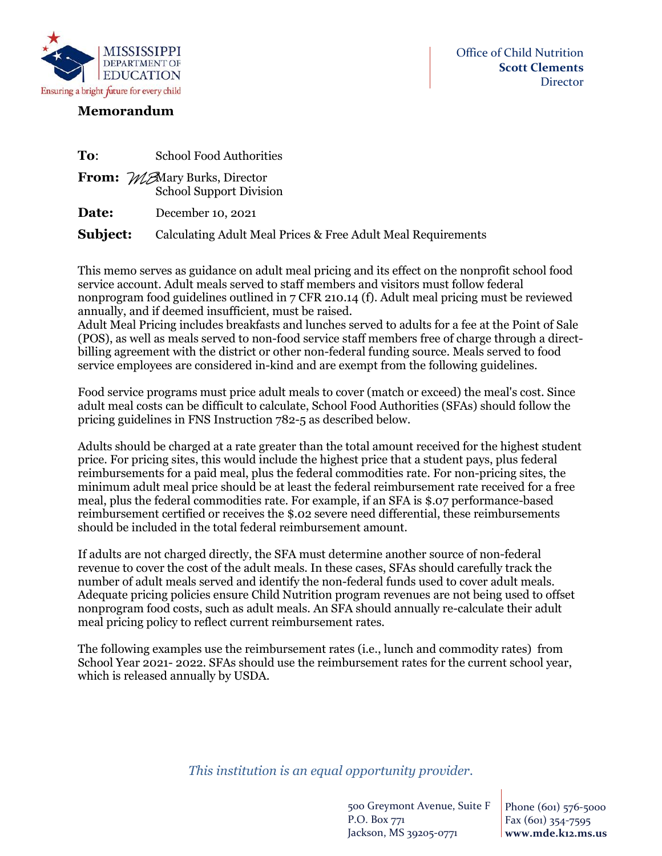

## **Memorandum**

| To:      | <b>School Food Authorities</b>                                         |
|----------|------------------------------------------------------------------------|
|          | <b>From:</b> MA Mary Burks, Director<br><b>School Support Division</b> |
| Date:    | December 10, 2021                                                      |
| Subject: | Calculating Adult Meal Prices & Free Adult Meal Requirements           |

This memo serves as guidance on adult meal pricing and its effect on the nonprofit school food service account. Adult meals served to staff members and visitors must follow federal nonprogram food guidelines outlined in 7 CFR 210.14 (f). Adult meal pricing must be reviewed annually, and if deemed insufficient, must be raised.

Adult Meal Pricing includes breakfasts and lunches served to adults for a fee at the Point of Sale (POS), as well as meals served to non-food service staff members free of charge through a directbilling agreement with the district or other non-federal funding source. Meals served to food service employees are considered in-kind and are exempt from the following guidelines.

Food service programs must price adult meals to cover (match or exceed) the meal's cost. Since adult meal costs can be difficult to calculate, School Food Authorities (SFAs) should follow the pricing guidelines in FNS Instruction 782-5 as described below.

Adults should be charged at a rate greater than the total amount received for the highest student price. For pricing sites, this would include the highest price that a student pays, plus federal reimbursements for a paid meal, plus the federal commodities rate. For non-pricing sites, the minimum adult meal price should be at least the federal reimbursement rate received for a free meal, plus the federal commodities rate. For example, if an SFA is \$.07 performance-based reimbursement certified or receives the \$.02 severe need differential, these reimbursements should be included in the total federal reimbursement amount.

If adults are not charged directly, the SFA must determine another source of non-federal revenue to cover the cost of the adult meals. In these cases, SFAs should carefully track the number of adult meals served and identify the non-federal funds used to cover adult meals. Adequate pricing policies ensure Child Nutrition program revenues are not being used to offset nonprogram food costs, such as adult meals. An SFA should annually re-calculate their adult meal pricing policy to reflect current reimbursement rates.

The following examples use the reimbursement rates (i.e., lunch and commodity rates) from School Year 2021- 2022. SFAs should use the reimbursement rates for the current school year, which is released annually by USDA.

## *This institution is an equal opportunity provider*.

500 Greymont Avenue, Suite F P.O. Box 771 Jackson, MS 39205-0771